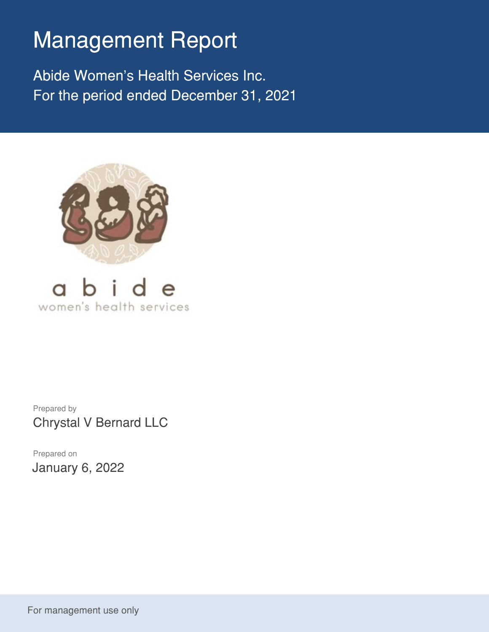# Management Report

Abide Women's Health Services Inc. For the period ended December 31, 2021





Prepared by Chrystal V Bernard LLC

Prepared on January 6, 2022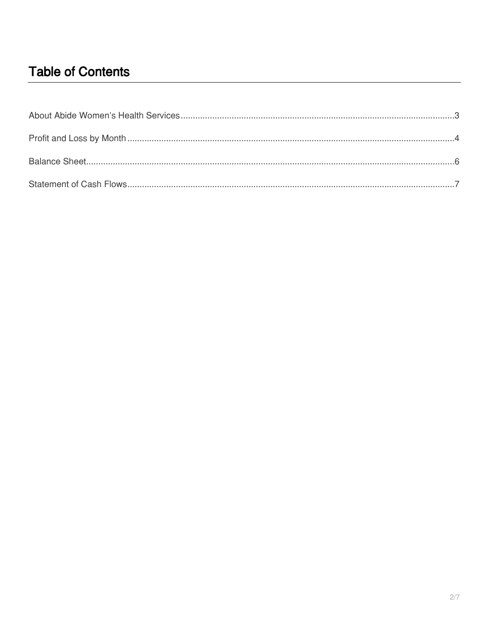## **Table of Contents**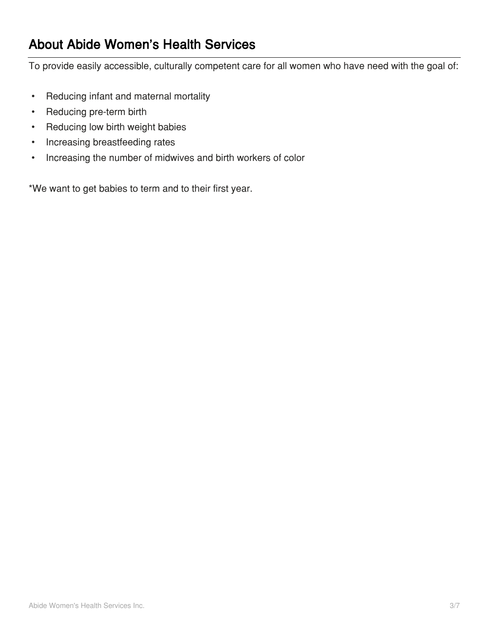### **About Abide Women's Health Services**

To provide easily accessible, culturally competent care for all women who have need with the goal of:

- Reducing infant and maternal mortality
- Reducing pre-term birth
- Reducing low birth weight babies
- Increasing breastfeeding rates
- Increasing the number of midwives and birth workers of color

\*We want to get babies to term and to their first year.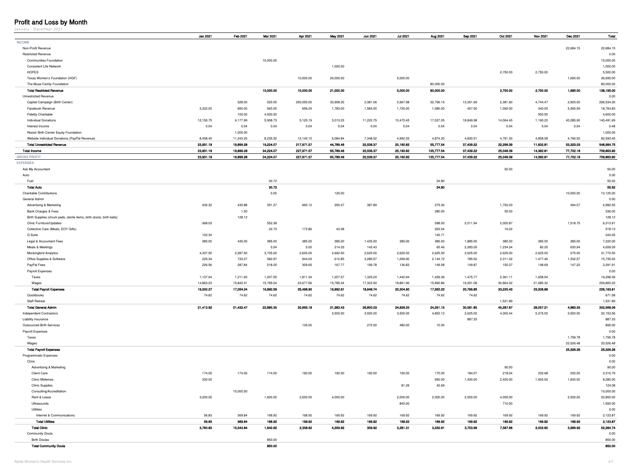#### Profit and Loss by Month

January – December 2021

| <b>INCOME</b><br>22,684.15<br>Non-Profit Revenue<br>22,684.15<br><b>Restricted Revenue</b><br>0.00<br>15,000.00<br>15,000.00<br><b>Communities Foundation</b><br>1,000.00<br><b>Consistent Life Network</b><br>1,000.00<br><b>HOPES</b><br>2,750.00<br>2,750.00<br>5,500.00<br>5,000.00<br>Texas Women's Foundation (HGF)<br>10,000.00<br>20,000.00<br>36,695.00<br>1,695.00<br>80,000.00<br>80,000.00<br>The Muse Family Foundation<br>2,750.00<br><b>Total Restricted Revenue</b><br>15,000.00<br>10,000.00<br>21,000.00<br>5,000.00<br>80,000.00<br>2,750.00<br>1,695.00<br>138,195.00<br><b>Unrestricted Revenue</b><br>0.00<br>528.00<br>520.00<br>200,050.00<br>33,908.35<br>2,381.06<br>2,967.98<br>32,796.15<br>13,351.69<br>2,381.60<br>2,905.00<br>296,534.30<br>Capital Campaign (Birth Center)<br>4,744.47<br>3,322.00<br>560.00<br>407.00<br>Facebook Revenue<br>850.00<br>656.24<br>1,783.00<br>1,584.00<br>1,725.00<br>1,080.00<br>1,092.00<br>340.00<br>5,365.59<br>18,764.83<br><b>Fidelity Charitable</b><br>100.00<br>4,000.00<br>500.00<br>4,600.00<br><b>Individual Donations</b><br>12,150.75<br>6,177.99<br>5,125.19<br>10,475.45<br>17,027.05<br>18,849.98<br>14,064.45<br>5,908.73<br>3,013.23<br>11,222.75<br>1,190.22<br>40,285.90<br>145,491.69<br>0.04<br>0.04<br>0.04<br>0.04<br>0.04<br>0.04<br>0.04<br>0.04<br>Interest Income<br>0.04<br>0.04<br>0.04<br>0.04<br>0.48<br>1,000.00<br>1,000.00<br>Resist/ Birth Center Equity Foundation<br>4,992.35<br>4,874.30<br>4,830.51<br>Website Individual Donations (PayPal Revenue)<br>8,458.40<br>11,243.25<br>8,235.30<br>12,140.10<br>6,084.84<br>7,348.52<br>4,761.30<br>4,858.08<br>4,766.50<br>82,593.45<br>23,931.19<br>217,971.57<br><b>Total Unrestricted Revenue</b><br>19,899.28<br>19,224.07<br>44,789.46<br>22,536.37<br>20,160.82<br>55,777.54<br>37,439.22<br>22,299.39<br>11,632.81<br>548,984.75<br>53,323.03<br>23,931.19<br>19,899.28<br>227,971.57<br>65,789.46<br>22,536.37<br>25,160.82<br>135,777.54<br>37,439.22<br>25,049.39<br>14,382.81<br>709,863.90<br><b>Total Income</b><br>34,224.07<br>77,702.18<br>23,931.19<br>19,899.28<br>135,777.54<br>25,049.39<br>709,863.90<br><b>GROSS PROFIT</b><br>34,224.07<br>227,971.57<br>65,789.46<br>22,536.37<br>25,160.82<br>37,439.22<br>14,382.81<br>77,702.18<br><b>EXPENSES</b><br>50.00<br>50.00<br>Ask My Accountant<br>0.00<br>Auto<br>Fuel<br>30.72<br>24.80<br>55.52<br>30.72<br>24.80<br><b>Total Auto</b><br>55.52<br><b>Charitable Contributions</b><br>0.00<br>125.00<br>10,000.00<br>10,125.00<br>General Admin<br>0.00<br>275.30<br>430.32<br>430.88<br>351.27<br>660.12<br>200.47<br>387.89<br>1,752.23<br>4,982.55<br><b>Advertising &amp; Marketing</b><br>494.07<br>Bank Charges & Fees<br>1.00<br>280.00<br>55.00<br>336.00<br>128.12<br>128.12<br>Birth Supplies (chuck pads, sterile items, birth stools, birth balls)<br>552.38<br>1,518.75<br>$-368.03$<br>598.00<br>2,011.94<br>2,000.87<br><b>Clinic Furniture/Updates</b><br>6,313.91<br>22.73<br>172.86<br>43.28<br>263.04<br>16.22<br>518.13<br>Collective Care (Meals, EOY Gifts)<br>G Suite<br>102.34<br>140.71<br>243.05<br>Legal & Accountant Fees<br>385.00<br>435.00<br>385.00<br>385.00<br>385.00<br>385.00<br>385.00<br>1,435.00<br>385.00<br>1,885.00<br>385.00<br>385.00<br>7,220.00<br>Meals & Meetings<br>0.54<br>5.00<br>214.33<br>143.43<br>65.46<br>2,283.05<br>1,234.34<br>82.20<br>630.94<br>4,659.29<br>4,337.50<br>2,287.50<br>3,705.00<br>2,625.00<br>2,692.50<br>2,625.00<br>2,625.00<br>2,625.00<br>2,625.00<br>31,772.50<br><b>Mockingbird Analytics</b><br>2,625.00<br>2,625.00<br>375.00<br>225.34<br>582.97<br>944.03<br>612.85<br>3,285.57<br>1,299.90<br>2,144.72<br>785.52<br>15,735.52<br>Office Supplies & Software<br>733.27<br>2,311.32<br>1,477.46<br>1,332.57<br>PayPal Fees<br>226.56<br>287.84<br>167.77<br>149.08<br>149.87<br>150.37<br>2,291.91<br>218.25<br>309.65<br>199.78<br>136.83<br>148.69<br>147.22<br>Payroll Expenses<br>0.00<br>Taxes<br>1,207.55<br>1,207.57<br>1,459.36<br>1,475.77<br>1,658.54<br>16,298.39<br>1,137.04<br>1,211.93<br>1,811.34<br>1,325.24<br>1,442.94<br>2,361.11<br>Wages<br>14,863.23<br>15,842.31<br>15,785.04<br>23,677.56<br>15,785.04<br>17,323.50<br>18,861.96<br>15,890.86<br>19,291.08<br>30,864.32<br>21,680.32<br>209,865.22<br>20,766.85<br>23,338.86<br><b>Total Payroll Expenses</b><br>16,000.27<br>17,054.24<br>16,992.59<br>25,488.90<br>16,992.61<br>20,304.90<br>17,350.22<br>33,225.43<br>226,163.61<br>18,648.74<br>74.62<br>74.62<br>74.62<br>74.62<br>74.62<br>74.62<br>74.62<br>74.62<br>74.62<br>671.58<br>Quickbooks<br><b>Staff Retreat</b><br>1,531.89<br>1,531.89<br>21,432.47<br><b>Total General Admin</b><br>21,413.92<br>22,885.35<br>30,665.18<br>21,383.43<br>26,800.03<br>24,826.25<br>24,351.15<br>30,581.85<br>45,287.67<br>28,057.21<br>4,883.55<br>302,568.06<br>4,853.12<br>5,375.00<br>3,500.00<br>3,500.00<br>3,500.00<br>3,625.00<br>4,300.44<br>3,500.00<br>32,153.56<br><b>Independent Contractors</b><br>887.33<br>887.33<br><b>Liability Insurance</b><br><b>Outsourced Birth Services</b><br>135.00<br>270.00<br>480.00<br>10.00<br>895.00<br>0.00<br>Payroll Expenses<br>1,799.78<br>1,799.78<br>Taxes<br>Wages<br>23,526.48<br>23,526.48<br>25,326.26<br><b>Total Payroll Expenses</b><br>25,326.26<br><b>Programmatic Expenses</b><br>0.00<br>Clinic<br>0.00<br>90.00<br>90.00<br><b>Advertising &amp; Marketing</b><br>174.00<br>174.00<br>174.00<br>190.00<br>190.00<br>190.00<br>170.00<br>184.07<br>2,316.79<br><b>Client Care</b><br>190.00<br>218.04<br>232.68<br>230.00<br><b>Clinic Midwives</b><br>330.00<br>950.00<br>1,400.00<br>8,280.00<br>2,400.00<br>1,600.00<br>1,600.00<br>81.39<br>42.69<br>124.08<br><b>Clinic Supplies</b><br>15,000.00<br>Consulting/Accreditation<br>15,000.00<br>3,200.00<br>2,000.00<br>4,000.00<br>2,000.00<br>2,000.00<br>4,000.00<br>2,000.00<br>22,800.00<br>Rent & Lease<br>1,600.00<br>2,000.00<br>840.00<br>710.00<br>Ultrasounds<br>1,550.00<br>Utilities<br>0.00<br>56.83<br>169.92<br>369.84<br>168.92<br>168.92<br>169.92<br>169.92<br>169.92<br>169.92<br>169.92<br>169.92<br>2,123.87<br>Internet & Communications<br>169.92<br>56.83<br><b>Total Utilities</b><br>369.84<br>168.92<br>168.92<br>169.92<br>169.92<br>169.92<br>169.92<br>169.92<br>169.92<br>169.92<br>169.92<br>2,123.87<br><b>Total Clinic</b><br>15,543.84<br>359.92<br>3,753.99<br>7,587.96<br>52,284.74<br>3,760.83<br>1,942.92<br>2,358.92<br>4,359.92<br>3,281.31<br>3,332.61<br>3,999.92<br>2,002.60<br><b>Community Doula</b><br>0.00<br>850.00<br><b>Birth Doulas</b><br>850.00 | randary poobmoor popi        |          |          |          |          |          |          |                 |          |          |          |                 |          |        |
|-----------------------------------------------------------------------------------------------------------------------------------------------------------------------------------------------------------------------------------------------------------------------------------------------------------------------------------------------------------------------------------------------------------------------------------------------------------------------------------------------------------------------------------------------------------------------------------------------------------------------------------------------------------------------------------------------------------------------------------------------------------------------------------------------------------------------------------------------------------------------------------------------------------------------------------------------------------------------------------------------------------------------------------------------------------------------------------------------------------------------------------------------------------------------------------------------------------------------------------------------------------------------------------------------------------------------------------------------------------------------------------------------------------------------------------------------------------------------------------------------------------------------------------------------------------------------------------------------------------------------------------------------------------------------------------------------------------------------------------------------------------------------------------------------------------------------------------------------------------------------------------------------------------------------------------------------------------------------------------------------------------------------------------------------------------------------------------------------------------------------------------------------------------------------------------------------------------------------------------------------------------------------------------------------------------------------------------------------------------------------------------------------------------------------------------------------------------------------------------------------------------------------------------------------------------------------------------------------------------------------------------------------------------------------------------------------------------------------------------------------------------------------------------------------------------------------------------------------------------------------------------------------------------------------------------------------------------------------------------------------------------------------------------------------------------------------------------------------------------------------------------------------------------------------------------------------------------------------------------------------------------------------------------------------------------------------------------------------------------------------------------------------------------------------------------------------------------------------------------------------------------------------------------------------------------------------------------------------------------------------------------------------------------------------------------------------------------------------------------------------------------------------------------------------------------------------------------------------------------------------------------------------------------------------------------------------------------------------------------------------------------------------------------------------------------------------------------------------------------------------------------------------------------------------------------------------------------------------------------------------------------------------------------------------------------------------------------------------------------------------------------------------------------------------------------------------------------------------------------------------------------------------------------------------------------------------------------------------------------------------------------------------------------------------------------------------------------------------------------------------------------------------------------------------------------------------------------------------------------------------------------------------------------------------------------------------------------------------------------------------------------------------------------------------------------------------------------------------------------------------------------------------------------------------------------------------------------------------------------------------------------------------------------------------------------------------------------------------------------------------------------------------------------------------------------------------------------------------------------------------------------------------------------------------------------------------------------------------------------------------------------------------------------------------------------------------------------------------------------------------------------------------------------------------------------------------------------------------------------------------------------------------------------------------------------------------------------------------------------------------------------------------------------------------------------------------------------------------------------------------------------------------------------------------------------------------------------------------------------------------------------------------------------------------------------------------------------------------------------------------------------------------------------------------------------------------------------------------------------------------------------------------------------------------------------------------------------------------------------------------------------------------------------------------|------------------------------|----------|----------|----------|----------|----------|----------|-----------------|----------|----------|----------|-----------------|----------|--------|
|                                                                                                                                                                                                                                                                                                                                                                                                                                                                                                                                                                                                                                                                                                                                                                                                                                                                                                                                                                                                                                                                                                                                                                                                                                                                                                                                                                                                                                                                                                                                                                                                                                                                                                                                                                                                                                                                                                                                                                                                                                                                                                                                                                                                                                                                                                                                                                                                                                                                                                                                                                                                                                                                                                                                                                                                                                                                                                                                                                                                                                                                                                                                                                                                                                                                                                                                                                                                                                                                                                                                                                                                                                                                                                                                                                                                                                                                                                                                                                                                                                                                                                                                                                                                                                                                                                                                                                                                                                                                                                                                                                                                                                                                                                                                                                                                                                                                                                                                                                                                                                                                                                                                                                                                                                                                                                                                                                                                                                                                                                                                                                                                                                                                                                                                                                                                                                                                                                                                                                                                                                                                                                                                                                                                                                                                                                                                                                                                                                                                                                                                                                                                                                                                       |                              | Jan 2021 | Feb 2021 | Mar 2021 | Apr 2021 | May 2021 | Jun 2021 | <b>Jul 2021</b> | Aug 2021 | Sep 2021 | Oct 2021 | <b>Nov 2021</b> | Dec 2021 | Total  |
|                                                                                                                                                                                                                                                                                                                                                                                                                                                                                                                                                                                                                                                                                                                                                                                                                                                                                                                                                                                                                                                                                                                                                                                                                                                                                                                                                                                                                                                                                                                                                                                                                                                                                                                                                                                                                                                                                                                                                                                                                                                                                                                                                                                                                                                                                                                                                                                                                                                                                                                                                                                                                                                                                                                                                                                                                                                                                                                                                                                                                                                                                                                                                                                                                                                                                                                                                                                                                                                                                                                                                                                                                                                                                                                                                                                                                                                                                                                                                                                                                                                                                                                                                                                                                                                                                                                                                                                                                                                                                                                                                                                                                                                                                                                                                                                                                                                                                                                                                                                                                                                                                                                                                                                                                                                                                                                                                                                                                                                                                                                                                                                                                                                                                                                                                                                                                                                                                                                                                                                                                                                                                                                                                                                                                                                                                                                                                                                                                                                                                                                                                                                                                                                                       |                              |          |          |          |          |          |          |                 |          |          |          |                 |          |        |
|                                                                                                                                                                                                                                                                                                                                                                                                                                                                                                                                                                                                                                                                                                                                                                                                                                                                                                                                                                                                                                                                                                                                                                                                                                                                                                                                                                                                                                                                                                                                                                                                                                                                                                                                                                                                                                                                                                                                                                                                                                                                                                                                                                                                                                                                                                                                                                                                                                                                                                                                                                                                                                                                                                                                                                                                                                                                                                                                                                                                                                                                                                                                                                                                                                                                                                                                                                                                                                                                                                                                                                                                                                                                                                                                                                                                                                                                                                                                                                                                                                                                                                                                                                                                                                                                                                                                                                                                                                                                                                                                                                                                                                                                                                                                                                                                                                                                                                                                                                                                                                                                                                                                                                                                                                                                                                                                                                                                                                                                                                                                                                                                                                                                                                                                                                                                                                                                                                                                                                                                                                                                                                                                                                                                                                                                                                                                                                                                                                                                                                                                                                                                                                                                       |                              |          |          |          |          |          |          |                 |          |          |          |                 |          |        |
|                                                                                                                                                                                                                                                                                                                                                                                                                                                                                                                                                                                                                                                                                                                                                                                                                                                                                                                                                                                                                                                                                                                                                                                                                                                                                                                                                                                                                                                                                                                                                                                                                                                                                                                                                                                                                                                                                                                                                                                                                                                                                                                                                                                                                                                                                                                                                                                                                                                                                                                                                                                                                                                                                                                                                                                                                                                                                                                                                                                                                                                                                                                                                                                                                                                                                                                                                                                                                                                                                                                                                                                                                                                                                                                                                                                                                                                                                                                                                                                                                                                                                                                                                                                                                                                                                                                                                                                                                                                                                                                                                                                                                                                                                                                                                                                                                                                                                                                                                                                                                                                                                                                                                                                                                                                                                                                                                                                                                                                                                                                                                                                                                                                                                                                                                                                                                                                                                                                                                                                                                                                                                                                                                                                                                                                                                                                                                                                                                                                                                                                                                                                                                                                                       |                              |          |          |          |          |          |          |                 |          |          |          |                 |          |        |
|                                                                                                                                                                                                                                                                                                                                                                                                                                                                                                                                                                                                                                                                                                                                                                                                                                                                                                                                                                                                                                                                                                                                                                                                                                                                                                                                                                                                                                                                                                                                                                                                                                                                                                                                                                                                                                                                                                                                                                                                                                                                                                                                                                                                                                                                                                                                                                                                                                                                                                                                                                                                                                                                                                                                                                                                                                                                                                                                                                                                                                                                                                                                                                                                                                                                                                                                                                                                                                                                                                                                                                                                                                                                                                                                                                                                                                                                                                                                                                                                                                                                                                                                                                                                                                                                                                                                                                                                                                                                                                                                                                                                                                                                                                                                                                                                                                                                                                                                                                                                                                                                                                                                                                                                                                                                                                                                                                                                                                                                                                                                                                                                                                                                                                                                                                                                                                                                                                                                                                                                                                                                                                                                                                                                                                                                                                                                                                                                                                                                                                                                                                                                                                                                       |                              |          |          |          |          |          |          |                 |          |          |          |                 |          |        |
|                                                                                                                                                                                                                                                                                                                                                                                                                                                                                                                                                                                                                                                                                                                                                                                                                                                                                                                                                                                                                                                                                                                                                                                                                                                                                                                                                                                                                                                                                                                                                                                                                                                                                                                                                                                                                                                                                                                                                                                                                                                                                                                                                                                                                                                                                                                                                                                                                                                                                                                                                                                                                                                                                                                                                                                                                                                                                                                                                                                                                                                                                                                                                                                                                                                                                                                                                                                                                                                                                                                                                                                                                                                                                                                                                                                                                                                                                                                                                                                                                                                                                                                                                                                                                                                                                                                                                                                                                                                                                                                                                                                                                                                                                                                                                                                                                                                                                                                                                                                                                                                                                                                                                                                                                                                                                                                                                                                                                                                                                                                                                                                                                                                                                                                                                                                                                                                                                                                                                                                                                                                                                                                                                                                                                                                                                                                                                                                                                                                                                                                                                                                                                                                                       |                              |          |          |          |          |          |          |                 |          |          |          |                 |          |        |
|                                                                                                                                                                                                                                                                                                                                                                                                                                                                                                                                                                                                                                                                                                                                                                                                                                                                                                                                                                                                                                                                                                                                                                                                                                                                                                                                                                                                                                                                                                                                                                                                                                                                                                                                                                                                                                                                                                                                                                                                                                                                                                                                                                                                                                                                                                                                                                                                                                                                                                                                                                                                                                                                                                                                                                                                                                                                                                                                                                                                                                                                                                                                                                                                                                                                                                                                                                                                                                                                                                                                                                                                                                                                                                                                                                                                                                                                                                                                                                                                                                                                                                                                                                                                                                                                                                                                                                                                                                                                                                                                                                                                                                                                                                                                                                                                                                                                                                                                                                                                                                                                                                                                                                                                                                                                                                                                                                                                                                                                                                                                                                                                                                                                                                                                                                                                                                                                                                                                                                                                                                                                                                                                                                                                                                                                                                                                                                                                                                                                                                                                                                                                                                                                       |                              |          |          |          |          |          |          |                 |          |          |          |                 |          |        |
|                                                                                                                                                                                                                                                                                                                                                                                                                                                                                                                                                                                                                                                                                                                                                                                                                                                                                                                                                                                                                                                                                                                                                                                                                                                                                                                                                                                                                                                                                                                                                                                                                                                                                                                                                                                                                                                                                                                                                                                                                                                                                                                                                                                                                                                                                                                                                                                                                                                                                                                                                                                                                                                                                                                                                                                                                                                                                                                                                                                                                                                                                                                                                                                                                                                                                                                                                                                                                                                                                                                                                                                                                                                                                                                                                                                                                                                                                                                                                                                                                                                                                                                                                                                                                                                                                                                                                                                                                                                                                                                                                                                                                                                                                                                                                                                                                                                                                                                                                                                                                                                                                                                                                                                                                                                                                                                                                                                                                                                                                                                                                                                                                                                                                                                                                                                                                                                                                                                                                                                                                                                                                                                                                                                                                                                                                                                                                                                                                                                                                                                                                                                                                                                                       |                              |          |          |          |          |          |          |                 |          |          |          |                 |          |        |
|                                                                                                                                                                                                                                                                                                                                                                                                                                                                                                                                                                                                                                                                                                                                                                                                                                                                                                                                                                                                                                                                                                                                                                                                                                                                                                                                                                                                                                                                                                                                                                                                                                                                                                                                                                                                                                                                                                                                                                                                                                                                                                                                                                                                                                                                                                                                                                                                                                                                                                                                                                                                                                                                                                                                                                                                                                                                                                                                                                                                                                                                                                                                                                                                                                                                                                                                                                                                                                                                                                                                                                                                                                                                                                                                                                                                                                                                                                                                                                                                                                                                                                                                                                                                                                                                                                                                                                                                                                                                                                                                                                                                                                                                                                                                                                                                                                                                                                                                                                                                                                                                                                                                                                                                                                                                                                                                                                                                                                                                                                                                                                                                                                                                                                                                                                                                                                                                                                                                                                                                                                                                                                                                                                                                                                                                                                                                                                                                                                                                                                                                                                                                                                                                       |                              |          |          |          |          |          |          |                 |          |          |          |                 |          |        |
|                                                                                                                                                                                                                                                                                                                                                                                                                                                                                                                                                                                                                                                                                                                                                                                                                                                                                                                                                                                                                                                                                                                                                                                                                                                                                                                                                                                                                                                                                                                                                                                                                                                                                                                                                                                                                                                                                                                                                                                                                                                                                                                                                                                                                                                                                                                                                                                                                                                                                                                                                                                                                                                                                                                                                                                                                                                                                                                                                                                                                                                                                                                                                                                                                                                                                                                                                                                                                                                                                                                                                                                                                                                                                                                                                                                                                                                                                                                                                                                                                                                                                                                                                                                                                                                                                                                                                                                                                                                                                                                                                                                                                                                                                                                                                                                                                                                                                                                                                                                                                                                                                                                                                                                                                                                                                                                                                                                                                                                                                                                                                                                                                                                                                                                                                                                                                                                                                                                                                                                                                                                                                                                                                                                                                                                                                                                                                                                                                                                                                                                                                                                                                                                                       |                              |          |          |          |          |          |          |                 |          |          |          |                 |          |        |
|                                                                                                                                                                                                                                                                                                                                                                                                                                                                                                                                                                                                                                                                                                                                                                                                                                                                                                                                                                                                                                                                                                                                                                                                                                                                                                                                                                                                                                                                                                                                                                                                                                                                                                                                                                                                                                                                                                                                                                                                                                                                                                                                                                                                                                                                                                                                                                                                                                                                                                                                                                                                                                                                                                                                                                                                                                                                                                                                                                                                                                                                                                                                                                                                                                                                                                                                                                                                                                                                                                                                                                                                                                                                                                                                                                                                                                                                                                                                                                                                                                                                                                                                                                                                                                                                                                                                                                                                                                                                                                                                                                                                                                                                                                                                                                                                                                                                                                                                                                                                                                                                                                                                                                                                                                                                                                                                                                                                                                                                                                                                                                                                                                                                                                                                                                                                                                                                                                                                                                                                                                                                                                                                                                                                                                                                                                                                                                                                                                                                                                                                                                                                                                                                       |                              |          |          |          |          |          |          |                 |          |          |          |                 |          |        |
|                                                                                                                                                                                                                                                                                                                                                                                                                                                                                                                                                                                                                                                                                                                                                                                                                                                                                                                                                                                                                                                                                                                                                                                                                                                                                                                                                                                                                                                                                                                                                                                                                                                                                                                                                                                                                                                                                                                                                                                                                                                                                                                                                                                                                                                                                                                                                                                                                                                                                                                                                                                                                                                                                                                                                                                                                                                                                                                                                                                                                                                                                                                                                                                                                                                                                                                                                                                                                                                                                                                                                                                                                                                                                                                                                                                                                                                                                                                                                                                                                                                                                                                                                                                                                                                                                                                                                                                                                                                                                                                                                                                                                                                                                                                                                                                                                                                                                                                                                                                                                                                                                                                                                                                                                                                                                                                                                                                                                                                                                                                                                                                                                                                                                                                                                                                                                                                                                                                                                                                                                                                                                                                                                                                                                                                                                                                                                                                                                                                                                                                                                                                                                                                                       |                              |          |          |          |          |          |          |                 |          |          |          |                 |          |        |
|                                                                                                                                                                                                                                                                                                                                                                                                                                                                                                                                                                                                                                                                                                                                                                                                                                                                                                                                                                                                                                                                                                                                                                                                                                                                                                                                                                                                                                                                                                                                                                                                                                                                                                                                                                                                                                                                                                                                                                                                                                                                                                                                                                                                                                                                                                                                                                                                                                                                                                                                                                                                                                                                                                                                                                                                                                                                                                                                                                                                                                                                                                                                                                                                                                                                                                                                                                                                                                                                                                                                                                                                                                                                                                                                                                                                                                                                                                                                                                                                                                                                                                                                                                                                                                                                                                                                                                                                                                                                                                                                                                                                                                                                                                                                                                                                                                                                                                                                                                                                                                                                                                                                                                                                                                                                                                                                                                                                                                                                                                                                                                                                                                                                                                                                                                                                                                                                                                                                                                                                                                                                                                                                                                                                                                                                                                                                                                                                                                                                                                                                                                                                                                                                       |                              |          |          |          |          |          |          |                 |          |          |          |                 |          |        |
|                                                                                                                                                                                                                                                                                                                                                                                                                                                                                                                                                                                                                                                                                                                                                                                                                                                                                                                                                                                                                                                                                                                                                                                                                                                                                                                                                                                                                                                                                                                                                                                                                                                                                                                                                                                                                                                                                                                                                                                                                                                                                                                                                                                                                                                                                                                                                                                                                                                                                                                                                                                                                                                                                                                                                                                                                                                                                                                                                                                                                                                                                                                                                                                                                                                                                                                                                                                                                                                                                                                                                                                                                                                                                                                                                                                                                                                                                                                                                                                                                                                                                                                                                                                                                                                                                                                                                                                                                                                                                                                                                                                                                                                                                                                                                                                                                                                                                                                                                                                                                                                                                                                                                                                                                                                                                                                                                                                                                                                                                                                                                                                                                                                                                                                                                                                                                                                                                                                                                                                                                                                                                                                                                                                                                                                                                                                                                                                                                                                                                                                                                                                                                                                                       |                              |          |          |          |          |          |          |                 |          |          |          |                 |          |        |
|                                                                                                                                                                                                                                                                                                                                                                                                                                                                                                                                                                                                                                                                                                                                                                                                                                                                                                                                                                                                                                                                                                                                                                                                                                                                                                                                                                                                                                                                                                                                                                                                                                                                                                                                                                                                                                                                                                                                                                                                                                                                                                                                                                                                                                                                                                                                                                                                                                                                                                                                                                                                                                                                                                                                                                                                                                                                                                                                                                                                                                                                                                                                                                                                                                                                                                                                                                                                                                                                                                                                                                                                                                                                                                                                                                                                                                                                                                                                                                                                                                                                                                                                                                                                                                                                                                                                                                                                                                                                                                                                                                                                                                                                                                                                                                                                                                                                                                                                                                                                                                                                                                                                                                                                                                                                                                                                                                                                                                                                                                                                                                                                                                                                                                                                                                                                                                                                                                                                                                                                                                                                                                                                                                                                                                                                                                                                                                                                                                                                                                                                                                                                                                                                       |                              |          |          |          |          |          |          |                 |          |          |          |                 |          |        |
|                                                                                                                                                                                                                                                                                                                                                                                                                                                                                                                                                                                                                                                                                                                                                                                                                                                                                                                                                                                                                                                                                                                                                                                                                                                                                                                                                                                                                                                                                                                                                                                                                                                                                                                                                                                                                                                                                                                                                                                                                                                                                                                                                                                                                                                                                                                                                                                                                                                                                                                                                                                                                                                                                                                                                                                                                                                                                                                                                                                                                                                                                                                                                                                                                                                                                                                                                                                                                                                                                                                                                                                                                                                                                                                                                                                                                                                                                                                                                                                                                                                                                                                                                                                                                                                                                                                                                                                                                                                                                                                                                                                                                                                                                                                                                                                                                                                                                                                                                                                                                                                                                                                                                                                                                                                                                                                                                                                                                                                                                                                                                                                                                                                                                                                                                                                                                                                                                                                                                                                                                                                                                                                                                                                                                                                                                                                                                                                                                                                                                                                                                                                                                                                                       |                              |          |          |          |          |          |          |                 |          |          |          |                 |          |        |
|                                                                                                                                                                                                                                                                                                                                                                                                                                                                                                                                                                                                                                                                                                                                                                                                                                                                                                                                                                                                                                                                                                                                                                                                                                                                                                                                                                                                                                                                                                                                                                                                                                                                                                                                                                                                                                                                                                                                                                                                                                                                                                                                                                                                                                                                                                                                                                                                                                                                                                                                                                                                                                                                                                                                                                                                                                                                                                                                                                                                                                                                                                                                                                                                                                                                                                                                                                                                                                                                                                                                                                                                                                                                                                                                                                                                                                                                                                                                                                                                                                                                                                                                                                                                                                                                                                                                                                                                                                                                                                                                                                                                                                                                                                                                                                                                                                                                                                                                                                                                                                                                                                                                                                                                                                                                                                                                                                                                                                                                                                                                                                                                                                                                                                                                                                                                                                                                                                                                                                                                                                                                                                                                                                                                                                                                                                                                                                                                                                                                                                                                                                                                                                                                       |                              |          |          |          |          |          |          |                 |          |          |          |                 |          |        |
|                                                                                                                                                                                                                                                                                                                                                                                                                                                                                                                                                                                                                                                                                                                                                                                                                                                                                                                                                                                                                                                                                                                                                                                                                                                                                                                                                                                                                                                                                                                                                                                                                                                                                                                                                                                                                                                                                                                                                                                                                                                                                                                                                                                                                                                                                                                                                                                                                                                                                                                                                                                                                                                                                                                                                                                                                                                                                                                                                                                                                                                                                                                                                                                                                                                                                                                                                                                                                                                                                                                                                                                                                                                                                                                                                                                                                                                                                                                                                                                                                                                                                                                                                                                                                                                                                                                                                                                                                                                                                                                                                                                                                                                                                                                                                                                                                                                                                                                                                                                                                                                                                                                                                                                                                                                                                                                                                                                                                                                                                                                                                                                                                                                                                                                                                                                                                                                                                                                                                                                                                                                                                                                                                                                                                                                                                                                                                                                                                                                                                                                                                                                                                                                                       |                              |          |          |          |          |          |          |                 |          |          |          |                 |          |        |
|                                                                                                                                                                                                                                                                                                                                                                                                                                                                                                                                                                                                                                                                                                                                                                                                                                                                                                                                                                                                                                                                                                                                                                                                                                                                                                                                                                                                                                                                                                                                                                                                                                                                                                                                                                                                                                                                                                                                                                                                                                                                                                                                                                                                                                                                                                                                                                                                                                                                                                                                                                                                                                                                                                                                                                                                                                                                                                                                                                                                                                                                                                                                                                                                                                                                                                                                                                                                                                                                                                                                                                                                                                                                                                                                                                                                                                                                                                                                                                                                                                                                                                                                                                                                                                                                                                                                                                                                                                                                                                                                                                                                                                                                                                                                                                                                                                                                                                                                                                                                                                                                                                                                                                                                                                                                                                                                                                                                                                                                                                                                                                                                                                                                                                                                                                                                                                                                                                                                                                                                                                                                                                                                                                                                                                                                                                                                                                                                                                                                                                                                                                                                                                                                       |                              |          |          |          |          |          |          |                 |          |          |          |                 |          |        |
|                                                                                                                                                                                                                                                                                                                                                                                                                                                                                                                                                                                                                                                                                                                                                                                                                                                                                                                                                                                                                                                                                                                                                                                                                                                                                                                                                                                                                                                                                                                                                                                                                                                                                                                                                                                                                                                                                                                                                                                                                                                                                                                                                                                                                                                                                                                                                                                                                                                                                                                                                                                                                                                                                                                                                                                                                                                                                                                                                                                                                                                                                                                                                                                                                                                                                                                                                                                                                                                                                                                                                                                                                                                                                                                                                                                                                                                                                                                                                                                                                                                                                                                                                                                                                                                                                                                                                                                                                                                                                                                                                                                                                                                                                                                                                                                                                                                                                                                                                                                                                                                                                                                                                                                                                                                                                                                                                                                                                                                                                                                                                                                                                                                                                                                                                                                                                                                                                                                                                                                                                                                                                                                                                                                                                                                                                                                                                                                                                                                                                                                                                                                                                                                                       |                              |          |          |          |          |          |          |                 |          |          |          |                 |          |        |
|                                                                                                                                                                                                                                                                                                                                                                                                                                                                                                                                                                                                                                                                                                                                                                                                                                                                                                                                                                                                                                                                                                                                                                                                                                                                                                                                                                                                                                                                                                                                                                                                                                                                                                                                                                                                                                                                                                                                                                                                                                                                                                                                                                                                                                                                                                                                                                                                                                                                                                                                                                                                                                                                                                                                                                                                                                                                                                                                                                                                                                                                                                                                                                                                                                                                                                                                                                                                                                                                                                                                                                                                                                                                                                                                                                                                                                                                                                                                                                                                                                                                                                                                                                                                                                                                                                                                                                                                                                                                                                                                                                                                                                                                                                                                                                                                                                                                                                                                                                                                                                                                                                                                                                                                                                                                                                                                                                                                                                                                                                                                                                                                                                                                                                                                                                                                                                                                                                                                                                                                                                                                                                                                                                                                                                                                                                                                                                                                                                                                                                                                                                                                                                                                       |                              |          |          |          |          |          |          |                 |          |          |          |                 |          |        |
|                                                                                                                                                                                                                                                                                                                                                                                                                                                                                                                                                                                                                                                                                                                                                                                                                                                                                                                                                                                                                                                                                                                                                                                                                                                                                                                                                                                                                                                                                                                                                                                                                                                                                                                                                                                                                                                                                                                                                                                                                                                                                                                                                                                                                                                                                                                                                                                                                                                                                                                                                                                                                                                                                                                                                                                                                                                                                                                                                                                                                                                                                                                                                                                                                                                                                                                                                                                                                                                                                                                                                                                                                                                                                                                                                                                                                                                                                                                                                                                                                                                                                                                                                                                                                                                                                                                                                                                                                                                                                                                                                                                                                                                                                                                                                                                                                                                                                                                                                                                                                                                                                                                                                                                                                                                                                                                                                                                                                                                                                                                                                                                                                                                                                                                                                                                                                                                                                                                                                                                                                                                                                                                                                                                                                                                                                                                                                                                                                                                                                                                                                                                                                                                                       |                              |          |          |          |          |          |          |                 |          |          |          |                 |          |        |
|                                                                                                                                                                                                                                                                                                                                                                                                                                                                                                                                                                                                                                                                                                                                                                                                                                                                                                                                                                                                                                                                                                                                                                                                                                                                                                                                                                                                                                                                                                                                                                                                                                                                                                                                                                                                                                                                                                                                                                                                                                                                                                                                                                                                                                                                                                                                                                                                                                                                                                                                                                                                                                                                                                                                                                                                                                                                                                                                                                                                                                                                                                                                                                                                                                                                                                                                                                                                                                                                                                                                                                                                                                                                                                                                                                                                                                                                                                                                                                                                                                                                                                                                                                                                                                                                                                                                                                                                                                                                                                                                                                                                                                                                                                                                                                                                                                                                                                                                                                                                                                                                                                                                                                                                                                                                                                                                                                                                                                                                                                                                                                                                                                                                                                                                                                                                                                                                                                                                                                                                                                                                                                                                                                                                                                                                                                                                                                                                                                                                                                                                                                                                                                                                       |                              |          |          |          |          |          |          |                 |          |          |          |                 |          |        |
|                                                                                                                                                                                                                                                                                                                                                                                                                                                                                                                                                                                                                                                                                                                                                                                                                                                                                                                                                                                                                                                                                                                                                                                                                                                                                                                                                                                                                                                                                                                                                                                                                                                                                                                                                                                                                                                                                                                                                                                                                                                                                                                                                                                                                                                                                                                                                                                                                                                                                                                                                                                                                                                                                                                                                                                                                                                                                                                                                                                                                                                                                                                                                                                                                                                                                                                                                                                                                                                                                                                                                                                                                                                                                                                                                                                                                                                                                                                                                                                                                                                                                                                                                                                                                                                                                                                                                                                                                                                                                                                                                                                                                                                                                                                                                                                                                                                                                                                                                                                                                                                                                                                                                                                                                                                                                                                                                                                                                                                                                                                                                                                                                                                                                                                                                                                                                                                                                                                                                                                                                                                                                                                                                                                                                                                                                                                                                                                                                                                                                                                                                                                                                                                                       |                              |          |          |          |          |          |          |                 |          |          |          |                 |          |        |
|                                                                                                                                                                                                                                                                                                                                                                                                                                                                                                                                                                                                                                                                                                                                                                                                                                                                                                                                                                                                                                                                                                                                                                                                                                                                                                                                                                                                                                                                                                                                                                                                                                                                                                                                                                                                                                                                                                                                                                                                                                                                                                                                                                                                                                                                                                                                                                                                                                                                                                                                                                                                                                                                                                                                                                                                                                                                                                                                                                                                                                                                                                                                                                                                                                                                                                                                                                                                                                                                                                                                                                                                                                                                                                                                                                                                                                                                                                                                                                                                                                                                                                                                                                                                                                                                                                                                                                                                                                                                                                                                                                                                                                                                                                                                                                                                                                                                                                                                                                                                                                                                                                                                                                                                                                                                                                                                                                                                                                                                                                                                                                                                                                                                                                                                                                                                                                                                                                                                                                                                                                                                                                                                                                                                                                                                                                                                                                                                                                                                                                                                                                                                                                                                       |                              |          |          |          |          |          |          |                 |          |          |          |                 |          |        |
|                                                                                                                                                                                                                                                                                                                                                                                                                                                                                                                                                                                                                                                                                                                                                                                                                                                                                                                                                                                                                                                                                                                                                                                                                                                                                                                                                                                                                                                                                                                                                                                                                                                                                                                                                                                                                                                                                                                                                                                                                                                                                                                                                                                                                                                                                                                                                                                                                                                                                                                                                                                                                                                                                                                                                                                                                                                                                                                                                                                                                                                                                                                                                                                                                                                                                                                                                                                                                                                                                                                                                                                                                                                                                                                                                                                                                                                                                                                                                                                                                                                                                                                                                                                                                                                                                                                                                                                                                                                                                                                                                                                                                                                                                                                                                                                                                                                                                                                                                                                                                                                                                                                                                                                                                                                                                                                                                                                                                                                                                                                                                                                                                                                                                                                                                                                                                                                                                                                                                                                                                                                                                                                                                                                                                                                                                                                                                                                                                                                                                                                                                                                                                                                                       |                              |          |          |          |          |          |          |                 |          |          |          |                 |          |        |
|                                                                                                                                                                                                                                                                                                                                                                                                                                                                                                                                                                                                                                                                                                                                                                                                                                                                                                                                                                                                                                                                                                                                                                                                                                                                                                                                                                                                                                                                                                                                                                                                                                                                                                                                                                                                                                                                                                                                                                                                                                                                                                                                                                                                                                                                                                                                                                                                                                                                                                                                                                                                                                                                                                                                                                                                                                                                                                                                                                                                                                                                                                                                                                                                                                                                                                                                                                                                                                                                                                                                                                                                                                                                                                                                                                                                                                                                                                                                                                                                                                                                                                                                                                                                                                                                                                                                                                                                                                                                                                                                                                                                                                                                                                                                                                                                                                                                                                                                                                                                                                                                                                                                                                                                                                                                                                                                                                                                                                                                                                                                                                                                                                                                                                                                                                                                                                                                                                                                                                                                                                                                                                                                                                                                                                                                                                                                                                                                                                                                                                                                                                                                                                                                       |                              |          |          |          |          |          |          |                 |          |          |          |                 |          |        |
|                                                                                                                                                                                                                                                                                                                                                                                                                                                                                                                                                                                                                                                                                                                                                                                                                                                                                                                                                                                                                                                                                                                                                                                                                                                                                                                                                                                                                                                                                                                                                                                                                                                                                                                                                                                                                                                                                                                                                                                                                                                                                                                                                                                                                                                                                                                                                                                                                                                                                                                                                                                                                                                                                                                                                                                                                                                                                                                                                                                                                                                                                                                                                                                                                                                                                                                                                                                                                                                                                                                                                                                                                                                                                                                                                                                                                                                                                                                                                                                                                                                                                                                                                                                                                                                                                                                                                                                                                                                                                                                                                                                                                                                                                                                                                                                                                                                                                                                                                                                                                                                                                                                                                                                                                                                                                                                                                                                                                                                                                                                                                                                                                                                                                                                                                                                                                                                                                                                                                                                                                                                                                                                                                                                                                                                                                                                                                                                                                                                                                                                                                                                                                                                                       |                              |          |          |          |          |          |          |                 |          |          |          |                 |          |        |
|                                                                                                                                                                                                                                                                                                                                                                                                                                                                                                                                                                                                                                                                                                                                                                                                                                                                                                                                                                                                                                                                                                                                                                                                                                                                                                                                                                                                                                                                                                                                                                                                                                                                                                                                                                                                                                                                                                                                                                                                                                                                                                                                                                                                                                                                                                                                                                                                                                                                                                                                                                                                                                                                                                                                                                                                                                                                                                                                                                                                                                                                                                                                                                                                                                                                                                                                                                                                                                                                                                                                                                                                                                                                                                                                                                                                                                                                                                                                                                                                                                                                                                                                                                                                                                                                                                                                                                                                                                                                                                                                                                                                                                                                                                                                                                                                                                                                                                                                                                                                                                                                                                                                                                                                                                                                                                                                                                                                                                                                                                                                                                                                                                                                                                                                                                                                                                                                                                                                                                                                                                                                                                                                                                                                                                                                                                                                                                                                                                                                                                                                                                                                                                                                       |                              |          |          |          |          |          |          |                 |          |          |          |                 |          |        |
|                                                                                                                                                                                                                                                                                                                                                                                                                                                                                                                                                                                                                                                                                                                                                                                                                                                                                                                                                                                                                                                                                                                                                                                                                                                                                                                                                                                                                                                                                                                                                                                                                                                                                                                                                                                                                                                                                                                                                                                                                                                                                                                                                                                                                                                                                                                                                                                                                                                                                                                                                                                                                                                                                                                                                                                                                                                                                                                                                                                                                                                                                                                                                                                                                                                                                                                                                                                                                                                                                                                                                                                                                                                                                                                                                                                                                                                                                                                                                                                                                                                                                                                                                                                                                                                                                                                                                                                                                                                                                                                                                                                                                                                                                                                                                                                                                                                                                                                                                                                                                                                                                                                                                                                                                                                                                                                                                                                                                                                                                                                                                                                                                                                                                                                                                                                                                                                                                                                                                                                                                                                                                                                                                                                                                                                                                                                                                                                                                                                                                                                                                                                                                                                                       |                              |          |          |          |          |          |          |                 |          |          |          |                 |          |        |
|                                                                                                                                                                                                                                                                                                                                                                                                                                                                                                                                                                                                                                                                                                                                                                                                                                                                                                                                                                                                                                                                                                                                                                                                                                                                                                                                                                                                                                                                                                                                                                                                                                                                                                                                                                                                                                                                                                                                                                                                                                                                                                                                                                                                                                                                                                                                                                                                                                                                                                                                                                                                                                                                                                                                                                                                                                                                                                                                                                                                                                                                                                                                                                                                                                                                                                                                                                                                                                                                                                                                                                                                                                                                                                                                                                                                                                                                                                                                                                                                                                                                                                                                                                                                                                                                                                                                                                                                                                                                                                                                                                                                                                                                                                                                                                                                                                                                                                                                                                                                                                                                                                                                                                                                                                                                                                                                                                                                                                                                                                                                                                                                                                                                                                                                                                                                                                                                                                                                                                                                                                                                                                                                                                                                                                                                                                                                                                                                                                                                                                                                                                                                                                                                       |                              |          |          |          |          |          |          |                 |          |          |          |                 |          |        |
|                                                                                                                                                                                                                                                                                                                                                                                                                                                                                                                                                                                                                                                                                                                                                                                                                                                                                                                                                                                                                                                                                                                                                                                                                                                                                                                                                                                                                                                                                                                                                                                                                                                                                                                                                                                                                                                                                                                                                                                                                                                                                                                                                                                                                                                                                                                                                                                                                                                                                                                                                                                                                                                                                                                                                                                                                                                                                                                                                                                                                                                                                                                                                                                                                                                                                                                                                                                                                                                                                                                                                                                                                                                                                                                                                                                                                                                                                                                                                                                                                                                                                                                                                                                                                                                                                                                                                                                                                                                                                                                                                                                                                                                                                                                                                                                                                                                                                                                                                                                                                                                                                                                                                                                                                                                                                                                                                                                                                                                                                                                                                                                                                                                                                                                                                                                                                                                                                                                                                                                                                                                                                                                                                                                                                                                                                                                                                                                                                                                                                                                                                                                                                                                                       |                              |          |          |          |          |          |          |                 |          |          |          |                 |          |        |
|                                                                                                                                                                                                                                                                                                                                                                                                                                                                                                                                                                                                                                                                                                                                                                                                                                                                                                                                                                                                                                                                                                                                                                                                                                                                                                                                                                                                                                                                                                                                                                                                                                                                                                                                                                                                                                                                                                                                                                                                                                                                                                                                                                                                                                                                                                                                                                                                                                                                                                                                                                                                                                                                                                                                                                                                                                                                                                                                                                                                                                                                                                                                                                                                                                                                                                                                                                                                                                                                                                                                                                                                                                                                                                                                                                                                                                                                                                                                                                                                                                                                                                                                                                                                                                                                                                                                                                                                                                                                                                                                                                                                                                                                                                                                                                                                                                                                                                                                                                                                                                                                                                                                                                                                                                                                                                                                                                                                                                                                                                                                                                                                                                                                                                                                                                                                                                                                                                                                                                                                                                                                                                                                                                                                                                                                                                                                                                                                                                                                                                                                                                                                                                                                       |                              |          |          |          |          |          |          |                 |          |          |          |                 |          |        |
|                                                                                                                                                                                                                                                                                                                                                                                                                                                                                                                                                                                                                                                                                                                                                                                                                                                                                                                                                                                                                                                                                                                                                                                                                                                                                                                                                                                                                                                                                                                                                                                                                                                                                                                                                                                                                                                                                                                                                                                                                                                                                                                                                                                                                                                                                                                                                                                                                                                                                                                                                                                                                                                                                                                                                                                                                                                                                                                                                                                                                                                                                                                                                                                                                                                                                                                                                                                                                                                                                                                                                                                                                                                                                                                                                                                                                                                                                                                                                                                                                                                                                                                                                                                                                                                                                                                                                                                                                                                                                                                                                                                                                                                                                                                                                                                                                                                                                                                                                                                                                                                                                                                                                                                                                                                                                                                                                                                                                                                                                                                                                                                                                                                                                                                                                                                                                                                                                                                                                                                                                                                                                                                                                                                                                                                                                                                                                                                                                                                                                                                                                                                                                                                                       |                              |          |          |          |          |          |          |                 |          |          |          |                 |          |        |
|                                                                                                                                                                                                                                                                                                                                                                                                                                                                                                                                                                                                                                                                                                                                                                                                                                                                                                                                                                                                                                                                                                                                                                                                                                                                                                                                                                                                                                                                                                                                                                                                                                                                                                                                                                                                                                                                                                                                                                                                                                                                                                                                                                                                                                                                                                                                                                                                                                                                                                                                                                                                                                                                                                                                                                                                                                                                                                                                                                                                                                                                                                                                                                                                                                                                                                                                                                                                                                                                                                                                                                                                                                                                                                                                                                                                                                                                                                                                                                                                                                                                                                                                                                                                                                                                                                                                                                                                                                                                                                                                                                                                                                                                                                                                                                                                                                                                                                                                                                                                                                                                                                                                                                                                                                                                                                                                                                                                                                                                                                                                                                                                                                                                                                                                                                                                                                                                                                                                                                                                                                                                                                                                                                                                                                                                                                                                                                                                                                                                                                                                                                                                                                                                       |                              |          |          |          |          |          |          |                 |          |          |          |                 |          |        |
|                                                                                                                                                                                                                                                                                                                                                                                                                                                                                                                                                                                                                                                                                                                                                                                                                                                                                                                                                                                                                                                                                                                                                                                                                                                                                                                                                                                                                                                                                                                                                                                                                                                                                                                                                                                                                                                                                                                                                                                                                                                                                                                                                                                                                                                                                                                                                                                                                                                                                                                                                                                                                                                                                                                                                                                                                                                                                                                                                                                                                                                                                                                                                                                                                                                                                                                                                                                                                                                                                                                                                                                                                                                                                                                                                                                                                                                                                                                                                                                                                                                                                                                                                                                                                                                                                                                                                                                                                                                                                                                                                                                                                                                                                                                                                                                                                                                                                                                                                                                                                                                                                                                                                                                                                                                                                                                                                                                                                                                                                                                                                                                                                                                                                                                                                                                                                                                                                                                                                                                                                                                                                                                                                                                                                                                                                                                                                                                                                                                                                                                                                                                                                                                                       |                              |          |          |          |          |          |          |                 |          |          |          |                 |          |        |
|                                                                                                                                                                                                                                                                                                                                                                                                                                                                                                                                                                                                                                                                                                                                                                                                                                                                                                                                                                                                                                                                                                                                                                                                                                                                                                                                                                                                                                                                                                                                                                                                                                                                                                                                                                                                                                                                                                                                                                                                                                                                                                                                                                                                                                                                                                                                                                                                                                                                                                                                                                                                                                                                                                                                                                                                                                                                                                                                                                                                                                                                                                                                                                                                                                                                                                                                                                                                                                                                                                                                                                                                                                                                                                                                                                                                                                                                                                                                                                                                                                                                                                                                                                                                                                                                                                                                                                                                                                                                                                                                                                                                                                                                                                                                                                                                                                                                                                                                                                                                                                                                                                                                                                                                                                                                                                                                                                                                                                                                                                                                                                                                                                                                                                                                                                                                                                                                                                                                                                                                                                                                                                                                                                                                                                                                                                                                                                                                                                                                                                                                                                                                                                                                       |                              |          |          |          |          |          |          |                 |          |          |          |                 |          |        |
|                                                                                                                                                                                                                                                                                                                                                                                                                                                                                                                                                                                                                                                                                                                                                                                                                                                                                                                                                                                                                                                                                                                                                                                                                                                                                                                                                                                                                                                                                                                                                                                                                                                                                                                                                                                                                                                                                                                                                                                                                                                                                                                                                                                                                                                                                                                                                                                                                                                                                                                                                                                                                                                                                                                                                                                                                                                                                                                                                                                                                                                                                                                                                                                                                                                                                                                                                                                                                                                                                                                                                                                                                                                                                                                                                                                                                                                                                                                                                                                                                                                                                                                                                                                                                                                                                                                                                                                                                                                                                                                                                                                                                                                                                                                                                                                                                                                                                                                                                                                                                                                                                                                                                                                                                                                                                                                                                                                                                                                                                                                                                                                                                                                                                                                                                                                                                                                                                                                                                                                                                                                                                                                                                                                                                                                                                                                                                                                                                                                                                                                                                                                                                                                                       |                              |          |          |          |          |          |          |                 |          |          |          |                 |          |        |
|                                                                                                                                                                                                                                                                                                                                                                                                                                                                                                                                                                                                                                                                                                                                                                                                                                                                                                                                                                                                                                                                                                                                                                                                                                                                                                                                                                                                                                                                                                                                                                                                                                                                                                                                                                                                                                                                                                                                                                                                                                                                                                                                                                                                                                                                                                                                                                                                                                                                                                                                                                                                                                                                                                                                                                                                                                                                                                                                                                                                                                                                                                                                                                                                                                                                                                                                                                                                                                                                                                                                                                                                                                                                                                                                                                                                                                                                                                                                                                                                                                                                                                                                                                                                                                                                                                                                                                                                                                                                                                                                                                                                                                                                                                                                                                                                                                                                                                                                                                                                                                                                                                                                                                                                                                                                                                                                                                                                                                                                                                                                                                                                                                                                                                                                                                                                                                                                                                                                                                                                                                                                                                                                                                                                                                                                                                                                                                                                                                                                                                                                                                                                                                                                       |                              |          |          |          |          |          |          |                 |          |          |          |                 |          |        |
|                                                                                                                                                                                                                                                                                                                                                                                                                                                                                                                                                                                                                                                                                                                                                                                                                                                                                                                                                                                                                                                                                                                                                                                                                                                                                                                                                                                                                                                                                                                                                                                                                                                                                                                                                                                                                                                                                                                                                                                                                                                                                                                                                                                                                                                                                                                                                                                                                                                                                                                                                                                                                                                                                                                                                                                                                                                                                                                                                                                                                                                                                                                                                                                                                                                                                                                                                                                                                                                                                                                                                                                                                                                                                                                                                                                                                                                                                                                                                                                                                                                                                                                                                                                                                                                                                                                                                                                                                                                                                                                                                                                                                                                                                                                                                                                                                                                                                                                                                                                                                                                                                                                                                                                                                                                                                                                                                                                                                                                                                                                                                                                                                                                                                                                                                                                                                                                                                                                                                                                                                                                                                                                                                                                                                                                                                                                                                                                                                                                                                                                                                                                                                                                                       |                              |          |          |          |          |          |          |                 |          |          |          |                 |          |        |
|                                                                                                                                                                                                                                                                                                                                                                                                                                                                                                                                                                                                                                                                                                                                                                                                                                                                                                                                                                                                                                                                                                                                                                                                                                                                                                                                                                                                                                                                                                                                                                                                                                                                                                                                                                                                                                                                                                                                                                                                                                                                                                                                                                                                                                                                                                                                                                                                                                                                                                                                                                                                                                                                                                                                                                                                                                                                                                                                                                                                                                                                                                                                                                                                                                                                                                                                                                                                                                                                                                                                                                                                                                                                                                                                                                                                                                                                                                                                                                                                                                                                                                                                                                                                                                                                                                                                                                                                                                                                                                                                                                                                                                                                                                                                                                                                                                                                                                                                                                                                                                                                                                                                                                                                                                                                                                                                                                                                                                                                                                                                                                                                                                                                                                                                                                                                                                                                                                                                                                                                                                                                                                                                                                                                                                                                                                                                                                                                                                                                                                                                                                                                                                                                       |                              |          |          |          |          |          |          |                 |          |          |          |                 |          |        |
|                                                                                                                                                                                                                                                                                                                                                                                                                                                                                                                                                                                                                                                                                                                                                                                                                                                                                                                                                                                                                                                                                                                                                                                                                                                                                                                                                                                                                                                                                                                                                                                                                                                                                                                                                                                                                                                                                                                                                                                                                                                                                                                                                                                                                                                                                                                                                                                                                                                                                                                                                                                                                                                                                                                                                                                                                                                                                                                                                                                                                                                                                                                                                                                                                                                                                                                                                                                                                                                                                                                                                                                                                                                                                                                                                                                                                                                                                                                                                                                                                                                                                                                                                                                                                                                                                                                                                                                                                                                                                                                                                                                                                                                                                                                                                                                                                                                                                                                                                                                                                                                                                                                                                                                                                                                                                                                                                                                                                                                                                                                                                                                                                                                                                                                                                                                                                                                                                                                                                                                                                                                                                                                                                                                                                                                                                                                                                                                                                                                                                                                                                                                                                                                                       |                              |          |          |          |          |          |          |                 |          |          |          |                 |          |        |
|                                                                                                                                                                                                                                                                                                                                                                                                                                                                                                                                                                                                                                                                                                                                                                                                                                                                                                                                                                                                                                                                                                                                                                                                                                                                                                                                                                                                                                                                                                                                                                                                                                                                                                                                                                                                                                                                                                                                                                                                                                                                                                                                                                                                                                                                                                                                                                                                                                                                                                                                                                                                                                                                                                                                                                                                                                                                                                                                                                                                                                                                                                                                                                                                                                                                                                                                                                                                                                                                                                                                                                                                                                                                                                                                                                                                                                                                                                                                                                                                                                                                                                                                                                                                                                                                                                                                                                                                                                                                                                                                                                                                                                                                                                                                                                                                                                                                                                                                                                                                                                                                                                                                                                                                                                                                                                                                                                                                                                                                                                                                                                                                                                                                                                                                                                                                                                                                                                                                                                                                                                                                                                                                                                                                                                                                                                                                                                                                                                                                                                                                                                                                                                                                       |                              |          |          |          |          |          |          |                 |          |          |          |                 |          |        |
|                                                                                                                                                                                                                                                                                                                                                                                                                                                                                                                                                                                                                                                                                                                                                                                                                                                                                                                                                                                                                                                                                                                                                                                                                                                                                                                                                                                                                                                                                                                                                                                                                                                                                                                                                                                                                                                                                                                                                                                                                                                                                                                                                                                                                                                                                                                                                                                                                                                                                                                                                                                                                                                                                                                                                                                                                                                                                                                                                                                                                                                                                                                                                                                                                                                                                                                                                                                                                                                                                                                                                                                                                                                                                                                                                                                                                                                                                                                                                                                                                                                                                                                                                                                                                                                                                                                                                                                                                                                                                                                                                                                                                                                                                                                                                                                                                                                                                                                                                                                                                                                                                                                                                                                                                                                                                                                                                                                                                                                                                                                                                                                                                                                                                                                                                                                                                                                                                                                                                                                                                                                                                                                                                                                                                                                                                                                                                                                                                                                                                                                                                                                                                                                                       |                              |          |          |          |          |          |          |                 |          |          |          |                 |          |        |
|                                                                                                                                                                                                                                                                                                                                                                                                                                                                                                                                                                                                                                                                                                                                                                                                                                                                                                                                                                                                                                                                                                                                                                                                                                                                                                                                                                                                                                                                                                                                                                                                                                                                                                                                                                                                                                                                                                                                                                                                                                                                                                                                                                                                                                                                                                                                                                                                                                                                                                                                                                                                                                                                                                                                                                                                                                                                                                                                                                                                                                                                                                                                                                                                                                                                                                                                                                                                                                                                                                                                                                                                                                                                                                                                                                                                                                                                                                                                                                                                                                                                                                                                                                                                                                                                                                                                                                                                                                                                                                                                                                                                                                                                                                                                                                                                                                                                                                                                                                                                                                                                                                                                                                                                                                                                                                                                                                                                                                                                                                                                                                                                                                                                                                                                                                                                                                                                                                                                                                                                                                                                                                                                                                                                                                                                                                                                                                                                                                                                                                                                                                                                                                                                       |                              |          |          |          |          |          |          |                 |          |          |          |                 |          |        |
|                                                                                                                                                                                                                                                                                                                                                                                                                                                                                                                                                                                                                                                                                                                                                                                                                                                                                                                                                                                                                                                                                                                                                                                                                                                                                                                                                                                                                                                                                                                                                                                                                                                                                                                                                                                                                                                                                                                                                                                                                                                                                                                                                                                                                                                                                                                                                                                                                                                                                                                                                                                                                                                                                                                                                                                                                                                                                                                                                                                                                                                                                                                                                                                                                                                                                                                                                                                                                                                                                                                                                                                                                                                                                                                                                                                                                                                                                                                                                                                                                                                                                                                                                                                                                                                                                                                                                                                                                                                                                                                                                                                                                                                                                                                                                                                                                                                                                                                                                                                                                                                                                                                                                                                                                                                                                                                                                                                                                                                                                                                                                                                                                                                                                                                                                                                                                                                                                                                                                                                                                                                                                                                                                                                                                                                                                                                                                                                                                                                                                                                                                                                                                                                                       |                              |          |          |          |          |          |          |                 |          |          |          |                 |          |        |
|                                                                                                                                                                                                                                                                                                                                                                                                                                                                                                                                                                                                                                                                                                                                                                                                                                                                                                                                                                                                                                                                                                                                                                                                                                                                                                                                                                                                                                                                                                                                                                                                                                                                                                                                                                                                                                                                                                                                                                                                                                                                                                                                                                                                                                                                                                                                                                                                                                                                                                                                                                                                                                                                                                                                                                                                                                                                                                                                                                                                                                                                                                                                                                                                                                                                                                                                                                                                                                                                                                                                                                                                                                                                                                                                                                                                                                                                                                                                                                                                                                                                                                                                                                                                                                                                                                                                                                                                                                                                                                                                                                                                                                                                                                                                                                                                                                                                                                                                                                                                                                                                                                                                                                                                                                                                                                                                                                                                                                                                                                                                                                                                                                                                                                                                                                                                                                                                                                                                                                                                                                                                                                                                                                                                                                                                                                                                                                                                                                                                                                                                                                                                                                                                       |                              |          |          |          |          |          |          |                 |          |          |          |                 |          |        |
|                                                                                                                                                                                                                                                                                                                                                                                                                                                                                                                                                                                                                                                                                                                                                                                                                                                                                                                                                                                                                                                                                                                                                                                                                                                                                                                                                                                                                                                                                                                                                                                                                                                                                                                                                                                                                                                                                                                                                                                                                                                                                                                                                                                                                                                                                                                                                                                                                                                                                                                                                                                                                                                                                                                                                                                                                                                                                                                                                                                                                                                                                                                                                                                                                                                                                                                                                                                                                                                                                                                                                                                                                                                                                                                                                                                                                                                                                                                                                                                                                                                                                                                                                                                                                                                                                                                                                                                                                                                                                                                                                                                                                                                                                                                                                                                                                                                                                                                                                                                                                                                                                                                                                                                                                                                                                                                                                                                                                                                                                                                                                                                                                                                                                                                                                                                                                                                                                                                                                                                                                                                                                                                                                                                                                                                                                                                                                                                                                                                                                                                                                                                                                                                                       |                              |          |          |          |          |          |          |                 |          |          |          |                 |          |        |
|                                                                                                                                                                                                                                                                                                                                                                                                                                                                                                                                                                                                                                                                                                                                                                                                                                                                                                                                                                                                                                                                                                                                                                                                                                                                                                                                                                                                                                                                                                                                                                                                                                                                                                                                                                                                                                                                                                                                                                                                                                                                                                                                                                                                                                                                                                                                                                                                                                                                                                                                                                                                                                                                                                                                                                                                                                                                                                                                                                                                                                                                                                                                                                                                                                                                                                                                                                                                                                                                                                                                                                                                                                                                                                                                                                                                                                                                                                                                                                                                                                                                                                                                                                                                                                                                                                                                                                                                                                                                                                                                                                                                                                                                                                                                                                                                                                                                                                                                                                                                                                                                                                                                                                                                                                                                                                                                                                                                                                                                                                                                                                                                                                                                                                                                                                                                                                                                                                                                                                                                                                                                                                                                                                                                                                                                                                                                                                                                                                                                                                                                                                                                                                                                       |                              |          |          |          |          |          |          |                 |          |          |          |                 |          |        |
|                                                                                                                                                                                                                                                                                                                                                                                                                                                                                                                                                                                                                                                                                                                                                                                                                                                                                                                                                                                                                                                                                                                                                                                                                                                                                                                                                                                                                                                                                                                                                                                                                                                                                                                                                                                                                                                                                                                                                                                                                                                                                                                                                                                                                                                                                                                                                                                                                                                                                                                                                                                                                                                                                                                                                                                                                                                                                                                                                                                                                                                                                                                                                                                                                                                                                                                                                                                                                                                                                                                                                                                                                                                                                                                                                                                                                                                                                                                                                                                                                                                                                                                                                                                                                                                                                                                                                                                                                                                                                                                                                                                                                                                                                                                                                                                                                                                                                                                                                                                                                                                                                                                                                                                                                                                                                                                                                                                                                                                                                                                                                                                                                                                                                                                                                                                                                                                                                                                                                                                                                                                                                                                                                                                                                                                                                                                                                                                                                                                                                                                                                                                                                                                                       |                              |          |          |          |          |          |          |                 |          |          |          |                 |          |        |
|                                                                                                                                                                                                                                                                                                                                                                                                                                                                                                                                                                                                                                                                                                                                                                                                                                                                                                                                                                                                                                                                                                                                                                                                                                                                                                                                                                                                                                                                                                                                                                                                                                                                                                                                                                                                                                                                                                                                                                                                                                                                                                                                                                                                                                                                                                                                                                                                                                                                                                                                                                                                                                                                                                                                                                                                                                                                                                                                                                                                                                                                                                                                                                                                                                                                                                                                                                                                                                                                                                                                                                                                                                                                                                                                                                                                                                                                                                                                                                                                                                                                                                                                                                                                                                                                                                                                                                                                                                                                                                                                                                                                                                                                                                                                                                                                                                                                                                                                                                                                                                                                                                                                                                                                                                                                                                                                                                                                                                                                                                                                                                                                                                                                                                                                                                                                                                                                                                                                                                                                                                                                                                                                                                                                                                                                                                                                                                                                                                                                                                                                                                                                                                                                       |                              |          |          |          |          |          |          |                 |          |          |          |                 |          |        |
|                                                                                                                                                                                                                                                                                                                                                                                                                                                                                                                                                                                                                                                                                                                                                                                                                                                                                                                                                                                                                                                                                                                                                                                                                                                                                                                                                                                                                                                                                                                                                                                                                                                                                                                                                                                                                                                                                                                                                                                                                                                                                                                                                                                                                                                                                                                                                                                                                                                                                                                                                                                                                                                                                                                                                                                                                                                                                                                                                                                                                                                                                                                                                                                                                                                                                                                                                                                                                                                                                                                                                                                                                                                                                                                                                                                                                                                                                                                                                                                                                                                                                                                                                                                                                                                                                                                                                                                                                                                                                                                                                                                                                                                                                                                                                                                                                                                                                                                                                                                                                                                                                                                                                                                                                                                                                                                                                                                                                                                                                                                                                                                                                                                                                                                                                                                                                                                                                                                                                                                                                                                                                                                                                                                                                                                                                                                                                                                                                                                                                                                                                                                                                                                                       |                              |          |          |          |          |          |          |                 |          |          |          |                 |          |        |
|                                                                                                                                                                                                                                                                                                                                                                                                                                                                                                                                                                                                                                                                                                                                                                                                                                                                                                                                                                                                                                                                                                                                                                                                                                                                                                                                                                                                                                                                                                                                                                                                                                                                                                                                                                                                                                                                                                                                                                                                                                                                                                                                                                                                                                                                                                                                                                                                                                                                                                                                                                                                                                                                                                                                                                                                                                                                                                                                                                                                                                                                                                                                                                                                                                                                                                                                                                                                                                                                                                                                                                                                                                                                                                                                                                                                                                                                                                                                                                                                                                                                                                                                                                                                                                                                                                                                                                                                                                                                                                                                                                                                                                                                                                                                                                                                                                                                                                                                                                                                                                                                                                                                                                                                                                                                                                                                                                                                                                                                                                                                                                                                                                                                                                                                                                                                                                                                                                                                                                                                                                                                                                                                                                                                                                                                                                                                                                                                                                                                                                                                                                                                                                                                       |                              |          |          |          |          |          |          |                 |          |          |          |                 |          |        |
|                                                                                                                                                                                                                                                                                                                                                                                                                                                                                                                                                                                                                                                                                                                                                                                                                                                                                                                                                                                                                                                                                                                                                                                                                                                                                                                                                                                                                                                                                                                                                                                                                                                                                                                                                                                                                                                                                                                                                                                                                                                                                                                                                                                                                                                                                                                                                                                                                                                                                                                                                                                                                                                                                                                                                                                                                                                                                                                                                                                                                                                                                                                                                                                                                                                                                                                                                                                                                                                                                                                                                                                                                                                                                                                                                                                                                                                                                                                                                                                                                                                                                                                                                                                                                                                                                                                                                                                                                                                                                                                                                                                                                                                                                                                                                                                                                                                                                                                                                                                                                                                                                                                                                                                                                                                                                                                                                                                                                                                                                                                                                                                                                                                                                                                                                                                                                                                                                                                                                                                                                                                                                                                                                                                                                                                                                                                                                                                                                                                                                                                                                                                                                                                                       |                              |          |          |          |          |          |          |                 |          |          |          |                 |          |        |
|                                                                                                                                                                                                                                                                                                                                                                                                                                                                                                                                                                                                                                                                                                                                                                                                                                                                                                                                                                                                                                                                                                                                                                                                                                                                                                                                                                                                                                                                                                                                                                                                                                                                                                                                                                                                                                                                                                                                                                                                                                                                                                                                                                                                                                                                                                                                                                                                                                                                                                                                                                                                                                                                                                                                                                                                                                                                                                                                                                                                                                                                                                                                                                                                                                                                                                                                                                                                                                                                                                                                                                                                                                                                                                                                                                                                                                                                                                                                                                                                                                                                                                                                                                                                                                                                                                                                                                                                                                                                                                                                                                                                                                                                                                                                                                                                                                                                                                                                                                                                                                                                                                                                                                                                                                                                                                                                                                                                                                                                                                                                                                                                                                                                                                                                                                                                                                                                                                                                                                                                                                                                                                                                                                                                                                                                                                                                                                                                                                                                                                                                                                                                                                                                       |                              |          |          |          |          |          |          |                 |          |          |          |                 |          |        |
|                                                                                                                                                                                                                                                                                                                                                                                                                                                                                                                                                                                                                                                                                                                                                                                                                                                                                                                                                                                                                                                                                                                                                                                                                                                                                                                                                                                                                                                                                                                                                                                                                                                                                                                                                                                                                                                                                                                                                                                                                                                                                                                                                                                                                                                                                                                                                                                                                                                                                                                                                                                                                                                                                                                                                                                                                                                                                                                                                                                                                                                                                                                                                                                                                                                                                                                                                                                                                                                                                                                                                                                                                                                                                                                                                                                                                                                                                                                                                                                                                                                                                                                                                                                                                                                                                                                                                                                                                                                                                                                                                                                                                                                                                                                                                                                                                                                                                                                                                                                                                                                                                                                                                                                                                                                                                                                                                                                                                                                                                                                                                                                                                                                                                                                                                                                                                                                                                                                                                                                                                                                                                                                                                                                                                                                                                                                                                                                                                                                                                                                                                                                                                                                                       |                              |          |          |          |          |          |          |                 |          |          |          |                 |          |        |
|                                                                                                                                                                                                                                                                                                                                                                                                                                                                                                                                                                                                                                                                                                                                                                                                                                                                                                                                                                                                                                                                                                                                                                                                                                                                                                                                                                                                                                                                                                                                                                                                                                                                                                                                                                                                                                                                                                                                                                                                                                                                                                                                                                                                                                                                                                                                                                                                                                                                                                                                                                                                                                                                                                                                                                                                                                                                                                                                                                                                                                                                                                                                                                                                                                                                                                                                                                                                                                                                                                                                                                                                                                                                                                                                                                                                                                                                                                                                                                                                                                                                                                                                                                                                                                                                                                                                                                                                                                                                                                                                                                                                                                                                                                                                                                                                                                                                                                                                                                                                                                                                                                                                                                                                                                                                                                                                                                                                                                                                                                                                                                                                                                                                                                                                                                                                                                                                                                                                                                                                                                                                                                                                                                                                                                                                                                                                                                                                                                                                                                                                                                                                                                                                       |                              |          |          |          |          |          |          |                 |          |          |          |                 |          |        |
|                                                                                                                                                                                                                                                                                                                                                                                                                                                                                                                                                                                                                                                                                                                                                                                                                                                                                                                                                                                                                                                                                                                                                                                                                                                                                                                                                                                                                                                                                                                                                                                                                                                                                                                                                                                                                                                                                                                                                                                                                                                                                                                                                                                                                                                                                                                                                                                                                                                                                                                                                                                                                                                                                                                                                                                                                                                                                                                                                                                                                                                                                                                                                                                                                                                                                                                                                                                                                                                                                                                                                                                                                                                                                                                                                                                                                                                                                                                                                                                                                                                                                                                                                                                                                                                                                                                                                                                                                                                                                                                                                                                                                                                                                                                                                                                                                                                                                                                                                                                                                                                                                                                                                                                                                                                                                                                                                                                                                                                                                                                                                                                                                                                                                                                                                                                                                                                                                                                                                                                                                                                                                                                                                                                                                                                                                                                                                                                                                                                                                                                                                                                                                                                                       |                              |          |          |          |          |          |          |                 |          |          |          |                 |          |        |
|                                                                                                                                                                                                                                                                                                                                                                                                                                                                                                                                                                                                                                                                                                                                                                                                                                                                                                                                                                                                                                                                                                                                                                                                                                                                                                                                                                                                                                                                                                                                                                                                                                                                                                                                                                                                                                                                                                                                                                                                                                                                                                                                                                                                                                                                                                                                                                                                                                                                                                                                                                                                                                                                                                                                                                                                                                                                                                                                                                                                                                                                                                                                                                                                                                                                                                                                                                                                                                                                                                                                                                                                                                                                                                                                                                                                                                                                                                                                                                                                                                                                                                                                                                                                                                                                                                                                                                                                                                                                                                                                                                                                                                                                                                                                                                                                                                                                                                                                                                                                                                                                                                                                                                                                                                                                                                                                                                                                                                                                                                                                                                                                                                                                                                                                                                                                                                                                                                                                                                                                                                                                                                                                                                                                                                                                                                                                                                                                                                                                                                                                                                                                                                                                       |                              |          |          |          |          |          |          |                 |          |          |          |                 |          |        |
|                                                                                                                                                                                                                                                                                                                                                                                                                                                                                                                                                                                                                                                                                                                                                                                                                                                                                                                                                                                                                                                                                                                                                                                                                                                                                                                                                                                                                                                                                                                                                                                                                                                                                                                                                                                                                                                                                                                                                                                                                                                                                                                                                                                                                                                                                                                                                                                                                                                                                                                                                                                                                                                                                                                                                                                                                                                                                                                                                                                                                                                                                                                                                                                                                                                                                                                                                                                                                                                                                                                                                                                                                                                                                                                                                                                                                                                                                                                                                                                                                                                                                                                                                                                                                                                                                                                                                                                                                                                                                                                                                                                                                                                                                                                                                                                                                                                                                                                                                                                                                                                                                                                                                                                                                                                                                                                                                                                                                                                                                                                                                                                                                                                                                                                                                                                                                                                                                                                                                                                                                                                                                                                                                                                                                                                                                                                                                                                                                                                                                                                                                                                                                                                                       |                              |          |          |          |          |          |          |                 |          |          |          |                 |          |        |
|                                                                                                                                                                                                                                                                                                                                                                                                                                                                                                                                                                                                                                                                                                                                                                                                                                                                                                                                                                                                                                                                                                                                                                                                                                                                                                                                                                                                                                                                                                                                                                                                                                                                                                                                                                                                                                                                                                                                                                                                                                                                                                                                                                                                                                                                                                                                                                                                                                                                                                                                                                                                                                                                                                                                                                                                                                                                                                                                                                                                                                                                                                                                                                                                                                                                                                                                                                                                                                                                                                                                                                                                                                                                                                                                                                                                                                                                                                                                                                                                                                                                                                                                                                                                                                                                                                                                                                                                                                                                                                                                                                                                                                                                                                                                                                                                                                                                                                                                                                                                                                                                                                                                                                                                                                                                                                                                                                                                                                                                                                                                                                                                                                                                                                                                                                                                                                                                                                                                                                                                                                                                                                                                                                                                                                                                                                                                                                                                                                                                                                                                                                                                                                                                       |                              |          |          |          |          |          |          |                 |          |          |          |                 |          |        |
|                                                                                                                                                                                                                                                                                                                                                                                                                                                                                                                                                                                                                                                                                                                                                                                                                                                                                                                                                                                                                                                                                                                                                                                                                                                                                                                                                                                                                                                                                                                                                                                                                                                                                                                                                                                                                                                                                                                                                                                                                                                                                                                                                                                                                                                                                                                                                                                                                                                                                                                                                                                                                                                                                                                                                                                                                                                                                                                                                                                                                                                                                                                                                                                                                                                                                                                                                                                                                                                                                                                                                                                                                                                                                                                                                                                                                                                                                                                                                                                                                                                                                                                                                                                                                                                                                                                                                                                                                                                                                                                                                                                                                                                                                                                                                                                                                                                                                                                                                                                                                                                                                                                                                                                                                                                                                                                                                                                                                                                                                                                                                                                                                                                                                                                                                                                                                                                                                                                                                                                                                                                                                                                                                                                                                                                                                                                                                                                                                                                                                                                                                                                                                                                                       |                              |          |          |          |          |          |          |                 |          |          |          |                 |          |        |
|                                                                                                                                                                                                                                                                                                                                                                                                                                                                                                                                                                                                                                                                                                                                                                                                                                                                                                                                                                                                                                                                                                                                                                                                                                                                                                                                                                                                                                                                                                                                                                                                                                                                                                                                                                                                                                                                                                                                                                                                                                                                                                                                                                                                                                                                                                                                                                                                                                                                                                                                                                                                                                                                                                                                                                                                                                                                                                                                                                                                                                                                                                                                                                                                                                                                                                                                                                                                                                                                                                                                                                                                                                                                                                                                                                                                                                                                                                                                                                                                                                                                                                                                                                                                                                                                                                                                                                                                                                                                                                                                                                                                                                                                                                                                                                                                                                                                                                                                                                                                                                                                                                                                                                                                                                                                                                                                                                                                                                                                                                                                                                                                                                                                                                                                                                                                                                                                                                                                                                                                                                                                                                                                                                                                                                                                                                                                                                                                                                                                                                                                                                                                                                                                       |                              |          |          |          |          |          |          |                 |          |          |          |                 |          |        |
|                                                                                                                                                                                                                                                                                                                                                                                                                                                                                                                                                                                                                                                                                                                                                                                                                                                                                                                                                                                                                                                                                                                                                                                                                                                                                                                                                                                                                                                                                                                                                                                                                                                                                                                                                                                                                                                                                                                                                                                                                                                                                                                                                                                                                                                                                                                                                                                                                                                                                                                                                                                                                                                                                                                                                                                                                                                                                                                                                                                                                                                                                                                                                                                                                                                                                                                                                                                                                                                                                                                                                                                                                                                                                                                                                                                                                                                                                                                                                                                                                                                                                                                                                                                                                                                                                                                                                                                                                                                                                                                                                                                                                                                                                                                                                                                                                                                                                                                                                                                                                                                                                                                                                                                                                                                                                                                                                                                                                                                                                                                                                                                                                                                                                                                                                                                                                                                                                                                                                                                                                                                                                                                                                                                                                                                                                                                                                                                                                                                                                                                                                                                                                                                                       |                              |          |          |          |          |          |          |                 |          |          |          |                 |          |        |
|                                                                                                                                                                                                                                                                                                                                                                                                                                                                                                                                                                                                                                                                                                                                                                                                                                                                                                                                                                                                                                                                                                                                                                                                                                                                                                                                                                                                                                                                                                                                                                                                                                                                                                                                                                                                                                                                                                                                                                                                                                                                                                                                                                                                                                                                                                                                                                                                                                                                                                                                                                                                                                                                                                                                                                                                                                                                                                                                                                                                                                                                                                                                                                                                                                                                                                                                                                                                                                                                                                                                                                                                                                                                                                                                                                                                                                                                                                                                                                                                                                                                                                                                                                                                                                                                                                                                                                                                                                                                                                                                                                                                                                                                                                                                                                                                                                                                                                                                                                                                                                                                                                                                                                                                                                                                                                                                                                                                                                                                                                                                                                                                                                                                                                                                                                                                                                                                                                                                                                                                                                                                                                                                                                                                                                                                                                                                                                                                                                                                                                                                                                                                                                                                       |                              |          |          |          |          |          |          |                 |          |          |          |                 |          |        |
|                                                                                                                                                                                                                                                                                                                                                                                                                                                                                                                                                                                                                                                                                                                                                                                                                                                                                                                                                                                                                                                                                                                                                                                                                                                                                                                                                                                                                                                                                                                                                                                                                                                                                                                                                                                                                                                                                                                                                                                                                                                                                                                                                                                                                                                                                                                                                                                                                                                                                                                                                                                                                                                                                                                                                                                                                                                                                                                                                                                                                                                                                                                                                                                                                                                                                                                                                                                                                                                                                                                                                                                                                                                                                                                                                                                                                                                                                                                                                                                                                                                                                                                                                                                                                                                                                                                                                                                                                                                                                                                                                                                                                                                                                                                                                                                                                                                                                                                                                                                                                                                                                                                                                                                                                                                                                                                                                                                                                                                                                                                                                                                                                                                                                                                                                                                                                                                                                                                                                                                                                                                                                                                                                                                                                                                                                                                                                                                                                                                                                                                                                                                                                                                                       |                              |          |          |          |          |          |          |                 |          |          |          |                 |          |        |
|                                                                                                                                                                                                                                                                                                                                                                                                                                                                                                                                                                                                                                                                                                                                                                                                                                                                                                                                                                                                                                                                                                                                                                                                                                                                                                                                                                                                                                                                                                                                                                                                                                                                                                                                                                                                                                                                                                                                                                                                                                                                                                                                                                                                                                                                                                                                                                                                                                                                                                                                                                                                                                                                                                                                                                                                                                                                                                                                                                                                                                                                                                                                                                                                                                                                                                                                                                                                                                                                                                                                                                                                                                                                                                                                                                                                                                                                                                                                                                                                                                                                                                                                                                                                                                                                                                                                                                                                                                                                                                                                                                                                                                                                                                                                                                                                                                                                                                                                                                                                                                                                                                                                                                                                                                                                                                                                                                                                                                                                                                                                                                                                                                                                                                                                                                                                                                                                                                                                                                                                                                                                                                                                                                                                                                                                                                                                                                                                                                                                                                                                                                                                                                                                       |                              |          |          |          |          |          |          |                 |          |          |          |                 |          |        |
|                                                                                                                                                                                                                                                                                                                                                                                                                                                                                                                                                                                                                                                                                                                                                                                                                                                                                                                                                                                                                                                                                                                                                                                                                                                                                                                                                                                                                                                                                                                                                                                                                                                                                                                                                                                                                                                                                                                                                                                                                                                                                                                                                                                                                                                                                                                                                                                                                                                                                                                                                                                                                                                                                                                                                                                                                                                                                                                                                                                                                                                                                                                                                                                                                                                                                                                                                                                                                                                                                                                                                                                                                                                                                                                                                                                                                                                                                                                                                                                                                                                                                                                                                                                                                                                                                                                                                                                                                                                                                                                                                                                                                                                                                                                                                                                                                                                                                                                                                                                                                                                                                                                                                                                                                                                                                                                                                                                                                                                                                                                                                                                                                                                                                                                                                                                                                                                                                                                                                                                                                                                                                                                                                                                                                                                                                                                                                                                                                                                                                                                                                                                                                                                                       |                              |          |          |          |          |          |          |                 |          |          |          |                 |          |        |
|                                                                                                                                                                                                                                                                                                                                                                                                                                                                                                                                                                                                                                                                                                                                                                                                                                                                                                                                                                                                                                                                                                                                                                                                                                                                                                                                                                                                                                                                                                                                                                                                                                                                                                                                                                                                                                                                                                                                                                                                                                                                                                                                                                                                                                                                                                                                                                                                                                                                                                                                                                                                                                                                                                                                                                                                                                                                                                                                                                                                                                                                                                                                                                                                                                                                                                                                                                                                                                                                                                                                                                                                                                                                                                                                                                                                                                                                                                                                                                                                                                                                                                                                                                                                                                                                                                                                                                                                                                                                                                                                                                                                                                                                                                                                                                                                                                                                                                                                                                                                                                                                                                                                                                                                                                                                                                                                                                                                                                                                                                                                                                                                                                                                                                                                                                                                                                                                                                                                                                                                                                                                                                                                                                                                                                                                                                                                                                                                                                                                                                                                                                                                                                                                       | <b>Total Community Doula</b> |          |          | 850.00   |          |          |          |                 |          |          |          |                 |          | 850.00 |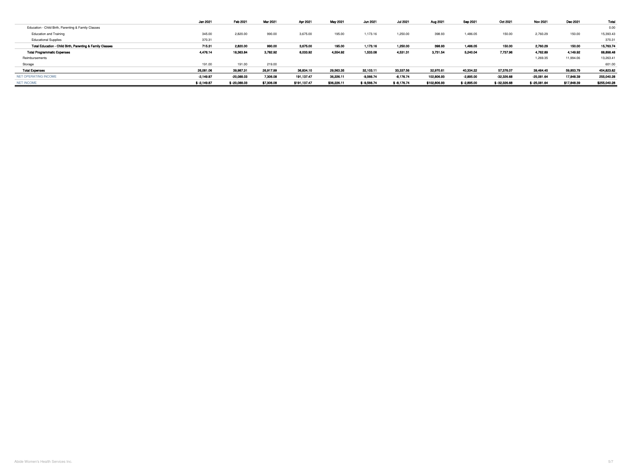|                                                           | Jan 2021      | Feb 2021       | Mar 2021   | Apr 2021     | May 2021    | Jun 2021      | <b>Jul 2021</b> | Aug 2021     | Sep 2021      | Oct 2021       | <b>Nov 2021</b> | Dec 2021    | Total        |
|-----------------------------------------------------------|---------------|----------------|------------|--------------|-------------|---------------|-----------------|--------------|---------------|----------------|-----------------|-------------|--------------|
| Education - Child Birth, Parenting & Family Classes       |               |                |            |              |             |               |                 |              |               |                |                 |             | 0.00         |
| <b>Education and Training</b>                             | 345.00        | 2,820.00       | 990.00     | 3,675.00     | 195.00      | 1,173.16      | 1,250.00        | 398.93       | 1,486.05      | 150.00         | 2,760.29        | 150.00      | 15,393.43    |
| <b>Educational Supplies</b>                               | 370.31        |                |            |              |             |               |                 |              |               |                |                 |             | 370.31       |
| Total Education - Child Birth, Parenting & Family Classes | 715.31        | 2,820.00       | 990.00     | 3,675.00     | 195.00      | 1,173.16      | 1,250.00        | 398.93       | 1,486.05      | 150.00         | 2,760.29        | 150.00      | 15,763.74    |
| <b>Total Programmatic Expenses</b>                        | 4,476.14      | 18,363.84      | 3,782.92   | 6,033.92     | 4,554.92    | 1,533.08      | 4,531.31        | 3,731.54     | 5,240.04      | 7,737.96       | 4,762.89        | 4,149.92    | 68,898.48    |
| Reimbursements                                            |               |                |            |              |             |               |                 |              |               |                | 1,269.35        | 11,994.06   | 13,263.41    |
| Storage                                                   | 191.00        | 191.00         | 219.00     |              |             |               |                 |              |               |                |                 |             | 601.00       |
| <b>Total Expenses</b>                                     | 26,081.06     | 39,987.31      | 26,917.99  | 36,834.10    | 29,563.35   | 32,103.11     | 33,337.56       | 32,970.61    | 40,334.22     | 57,376.07      | 39,464.45       | 59,853.79   | 454,823.62   |
| NET OPERATING INCOME                                      | -2,149.87     | $-20,088.03$   | 7,306.08   | 191,137.47   | 36,226.11   | $-9,566.74$   | $-8,176.74$     | 102,806.93   | -2,895.00     | $-32,326.68$   | -25,081.64      | 17,848.39   | 255,040.28   |
| <b>NET INCOME</b>                                         | $$ -2,149.87$ | $$ -20,088.03$ | \$7,306.08 | \$191,137.47 | \$36,226.11 | $$ -9,566.74$ | \$-8,176.74     | \$102,806.93 | $$ -2,895.00$ | $$ -32,326.68$ | $$ -25,081.64$  | \$17,848.39 | \$255,040.28 |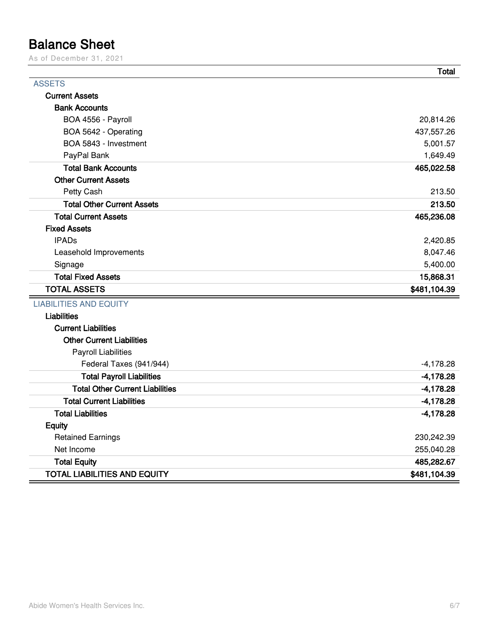#### **Balance Sheet**

As of December 31, 2021

|                                        | Total        |
|----------------------------------------|--------------|
| <b>ASSETS</b>                          |              |
| <b>Current Assets</b>                  |              |
| <b>Bank Accounts</b>                   |              |
| BOA 4556 - Payroll                     | 20,814.26    |
| BOA 5642 - Operating                   | 437,557.26   |
| BOA 5843 - Investment                  | 5,001.57     |
| PayPal Bank                            | 1,649.49     |
| <b>Total Bank Accounts</b>             | 465,022.58   |
| <b>Other Current Assets</b>            |              |
| Petty Cash                             | 213.50       |
| <b>Total Other Current Assets</b>      | 213.50       |
| <b>Total Current Assets</b>            | 465,236.08   |
| <b>Fixed Assets</b>                    |              |
| <b>IPADs</b>                           | 2,420.85     |
| Leasehold Improvements                 | 8,047.46     |
| Signage                                | 5,400.00     |
| <b>Total Fixed Assets</b>              | 15,868.31    |
| <b>TOTAL ASSETS</b>                    | \$481,104.39 |
| <b>LIABILITIES AND EQUITY</b>          |              |
| <b>Liabilities</b>                     |              |
| <b>Current Liabilities</b>             |              |
| <b>Other Current Liabilities</b>       |              |
| <b>Payroll Liabilities</b>             |              |
| Federal Taxes (941/944)                | $-4,178.28$  |
| <b>Total Payroll Liabilities</b>       | $-4,178.28$  |
| <b>Total Other Current Liabilities</b> | $-4,178.28$  |
| <b>Total Current Liabilities</b>       | $-4,178.28$  |
| <b>Total Liabilities</b>               | $-4,178.28$  |
| <b>Equity</b>                          |              |
| <b>Retained Earnings</b>               | 230,242.39   |
| Net Income                             | 255,040.28   |
| <b>Total Equity</b>                    | 485,282.67   |
| <b>TOTAL LIABILITIES AND EQUITY</b>    | \$481,104.39 |